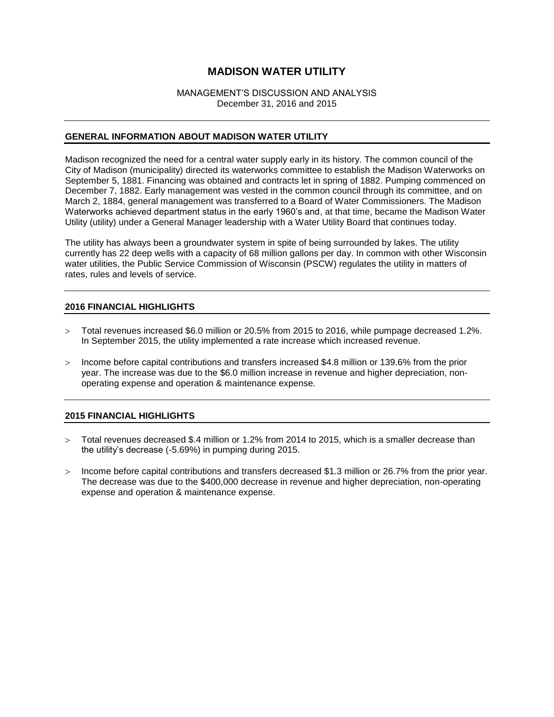### MANAGEMENT'S DISCUSSION AND ANALYSIS December 31, 2016 and 2015

## **GENERAL INFORMATION ABOUT MADISON WATER UTILITY**

Madison recognized the need for a central water supply early in its history. The common council of the City of Madison (municipality) directed its waterworks committee to establish the Madison Waterworks on September 5, 1881. Financing was obtained and contracts let in spring of 1882. Pumping commenced on December 7, 1882. Early management was vested in the common council through its committee, and on March 2, 1884, general management was transferred to a Board of Water Commissioners. The Madison Waterworks achieved department status in the early 1960's and, at that time, became the Madison Water Utility (utility) under a General Manager leadership with a Water Utility Board that continues today.

The utility has always been a groundwater system in spite of being surrounded by lakes. The utility currently has 22 deep wells with a capacity of 68 million gallons per day. In common with other Wisconsin water utilities, the Public Service Commission of Wisconsin (PSCW) regulates the utility in matters of rates, rules and levels of service.

## **2016 FINANCIAL HIGHLIGHTS**

- Total revenues increased \$6.0 million or 20.5% from 2015 to 2016, while pumpage decreased 1.2%. In September 2015, the utility implemented a rate increase which increased revenue.
- $>$  Income before capital contributions and transfers increased \$4.8 million or 139.6% from the prior year. The increase was due to the \$6.0 million increase in revenue and higher depreciation, nonoperating expense and operation & maintenance expense.

## **2015 FINANCIAL HIGHLIGHTS**

- Total revenues decreased \$.4 million or 1.2% from 2014 to 2015, which is a smaller decrease than the utility's decrease (-5.69%) in pumping during 2015.
- $>$  Income before capital contributions and transfers decreased \$1.3 million or 26.7% from the prior year. The decrease was due to the \$400,000 decrease in revenue and higher depreciation, non-operating expense and operation & maintenance expense.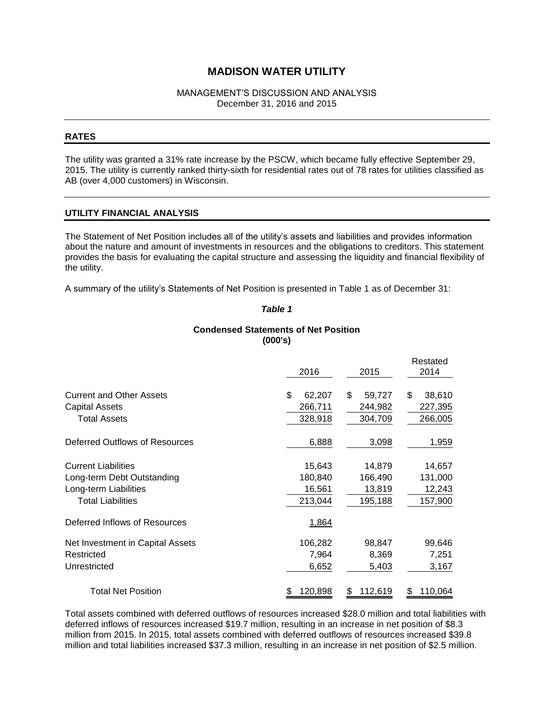#### MANAGEMENT'S DISCUSSION AND ANALYSIS December 31, 2016 and 2015

#### **RATES**

The utility was granted a 31% rate increase by the PSCW, which became fully effective September 29, 2015. The utility is currently ranked thirty-sixth for residential rates out of 78 rates for utilities classified as AB (over 4,000 customers) in Wisconsin.

## **UTILITY FINANCIAL ANALYSIS**

The Statement of Net Position includes all of the utility's assets and liabilities and provides information about the nature and amount of investments in resources and the obligations to creditors. This statement provides the basis for evaluating the capital structure and assessing the liquidity and financial flexibility of the utility.

A summary of the utility's Statements of Net Position is presented in Table 1 as of December 31:

#### *Table 1*

## **Condensed Statements of Net Position (000's)**

|                                  | 2016         | 2015           | Restated<br>2014 |
|----------------------------------|--------------|----------------|------------------|
| <b>Current and Other Assets</b>  | \$<br>62,207 | \$<br>59,727   | \$.<br>38,610    |
| <b>Capital Assets</b>            | 266,711      | 244,982        | 227,395          |
| <b>Total Assets</b>              | 328,918      | 304,709        | 266,005          |
| Deferred Outflows of Resources   | 6,888        | 3,098          | 1,959            |
| <b>Current Liabilities</b>       | 15,643       | 14,879         | 14,657           |
| Long-term Debt Outstanding       | 180,840      | 166,490        | 131,000          |
| Long-term Liabilities            | 16,561       | 13,819         | 12,243           |
| <b>Total Liabilities</b>         | 213,044      | 195,188        | 157,900          |
| Deferred Inflows of Resources    | 1,864        |                |                  |
| Net Investment in Capital Assets | 106,282      | 98,847         | 99,646           |
| Restricted                       | 7,964        | 8,369          | 7,251            |
| Unrestricted                     | 6,652        | 5,403          | 3,167            |
| <b>Total Net Position</b>        | 120,898      | 112,619<br>\$. | 110,064<br>3     |

Total assets combined with deferred outflows of resources increased \$28.0 million and total liabilities with deferred inflows of resources increased \$19.7 million, resulting in an increase in net position of \$8.3 million from 2015. In 2015, total assets combined with deferred outflows of resources increased \$39.8 million and total liabilities increased \$37.3 million, resulting in an increase in net position of \$2.5 million.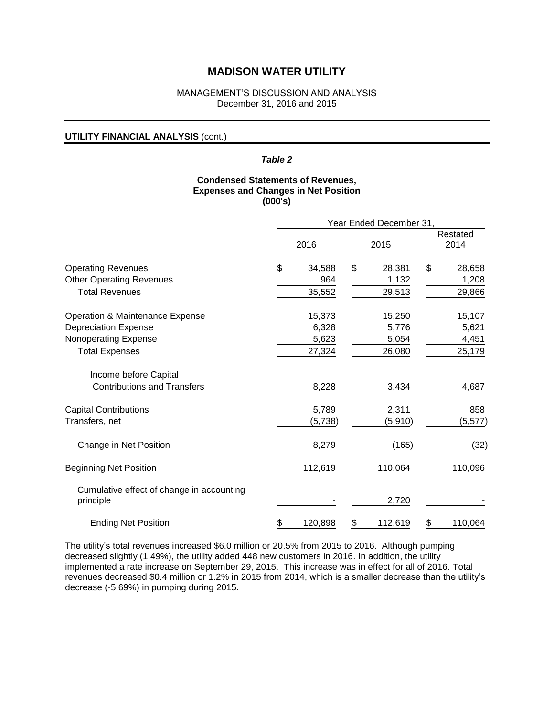#### MANAGEMENT'S DISCUSSION AND ANALYSIS December 31, 2016 and 2015

#### **UTILITY FINANCIAL ANALYSIS** (cont.)

## *Table 2*

## **Condensed Statements of Revenues, Expenses and Changes in Net Position (000's)**

|                                                        | Year Ended December 31, |         |    |          |    |                  |
|--------------------------------------------------------|-------------------------|---------|----|----------|----|------------------|
|                                                        |                         | 2016    |    | 2015     |    | Restated<br>2014 |
| <b>Operating Revenues</b>                              | \$                      | 34,588  | \$ | 28,381   | \$ | 28,658           |
| <b>Other Operating Revenues</b>                        |                         | 964     |    | 1,132    |    | 1,208            |
| <b>Total Revenues</b>                                  |                         | 35,552  |    | 29,513   |    | 29,866           |
| Operation & Maintenance Expense                        |                         | 15,373  |    | 15,250   |    | 15,107           |
| <b>Depreciation Expense</b>                            |                         | 6,328   |    | 5,776    |    | 5,621            |
| Nonoperating Expense                                   |                         | 5,623   |    | 5,054    |    | 4,451            |
| <b>Total Expenses</b>                                  |                         | 27,324  |    | 26,080   |    | 25,179           |
| Income before Capital                                  |                         |         |    |          |    |                  |
| <b>Contributions and Transfers</b>                     |                         | 8,228   |    | 3,434    |    | 4,687            |
| <b>Capital Contributions</b>                           |                         | 5,789   |    | 2,311    |    | 858              |
| Transfers, net                                         |                         | (5,738) |    | (5, 910) |    | (5,577)          |
| Change in Net Position                                 |                         | 8,279   |    | (165)    |    | (32)             |
| <b>Beginning Net Position</b>                          |                         | 112,619 |    | 110,064  |    | 110,096          |
| Cumulative effect of change in accounting<br>principle |                         |         |    | 2,720    |    |                  |
|                                                        |                         |         |    |          |    |                  |
| <b>Ending Net Position</b>                             | \$                      | 120,898 | \$ | 112,619  | \$ | 110,064          |

The utility's total revenues increased \$6.0 million or 20.5% from 2015 to 2016. Although pumping decreased slightly (1.49%), the utility added 448 new customers in 2016. In addition, the utility implemented a rate increase on September 29, 2015. This increase was in effect for all of 2016. Total revenues decreased \$0.4 million or 1.2% in 2015 from 2014, which is a smaller decrease than the utility's decrease (-5.69%) in pumping during 2015.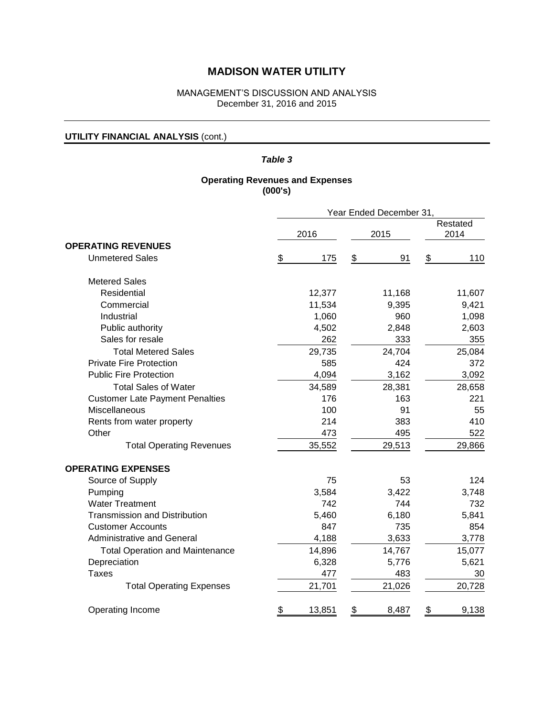## MANAGEMENT'S DISCUSSION AND ANALYSIS December 31, 2016 and 2015

## **UTILITY FINANCIAL ANALYSIS** (cont.)

## *Table 3*

## **Operating Revenues and Expenses (000's)**

|                                        | Year Ended December 31, |        |      |        |                  |        |
|----------------------------------------|-------------------------|--------|------|--------|------------------|--------|
|                                        | 2016                    |        | 2015 |        | Restated<br>2014 |        |
| <b>OPERATING REVENUES</b>              |                         |        |      |        |                  |        |
| <b>Unmetered Sales</b>                 | \$                      | 175    | \$   | 91     | \$               | 110    |
| <b>Metered Sales</b>                   |                         |        |      |        |                  |        |
| Residential                            |                         | 12,377 |      | 11,168 |                  | 11,607 |
| Commercial                             |                         | 11,534 |      | 9,395  |                  | 9,421  |
| Industrial                             |                         | 1,060  |      | 960    |                  | 1,098  |
| Public authority                       |                         | 4,502  |      | 2,848  |                  | 2,603  |
| Sales for resale                       |                         | 262    |      | 333    |                  | 355    |
| <b>Total Metered Sales</b>             |                         | 29,735 |      | 24,704 |                  | 25,084 |
| <b>Private Fire Protection</b>         |                         | 585    |      | 424    |                  | 372    |
| <b>Public Fire Protection</b>          |                         | 4,094  |      | 3,162  |                  | 3,092  |
| <b>Total Sales of Water</b>            |                         | 34,589 |      | 28,381 |                  | 28,658 |
| <b>Customer Late Payment Penalties</b> |                         | 176    |      | 163    |                  | 221    |
| Miscellaneous                          |                         | 100    |      | 91     |                  | 55     |
| Rents from water property              |                         | 214    |      | 383    |                  | 410    |
| Other                                  |                         | 473    |      | 495    |                  | 522    |
| <b>Total Operating Revenues</b>        |                         | 35,552 |      | 29,513 |                  | 29,866 |
| <b>OPERATING EXPENSES</b>              |                         |        |      |        |                  |        |
| Source of Supply                       |                         | 75     |      | 53     |                  | 124    |
| Pumping                                |                         | 3,584  |      | 3,422  |                  | 3,748  |
| <b>Water Treatment</b>                 |                         | 742    |      | 744    |                  | 732    |
| <b>Transmission and Distribution</b>   |                         | 5,460  |      | 6,180  |                  | 5,841  |
| <b>Customer Accounts</b>               |                         | 847    |      | 735    |                  | 854    |
| <b>Administrative and General</b>      |                         | 4,188  |      | 3,633  |                  | 3,778  |
| <b>Total Operation and Maintenance</b> |                         | 14,896 |      | 14,767 |                  | 15,077 |
| Depreciation                           |                         | 6,328  |      | 5,776  |                  | 5,621  |
| <b>Taxes</b>                           |                         | 477    |      | 483    |                  | 30     |
| <b>Total Operating Expenses</b>        |                         | 21,701 |      | 21,026 |                  | 20,728 |
| Operating Income                       | \$                      | 13,851 | \$   | 8,487  | \$               | 9,138  |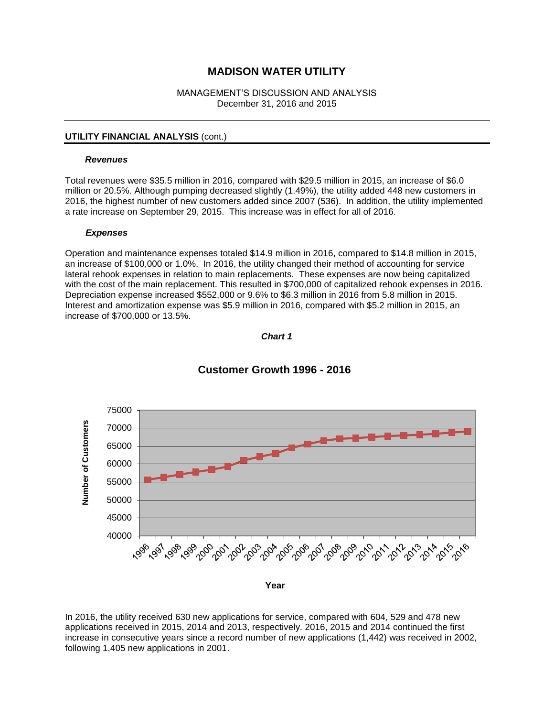#### MANAGEMENT'S DISCUSSION AND ANALYSIS December 31, 2016 and 2015

### **UTILITY FINANCIAL ANALYSIS** (cont.)

#### *Revenues*

Total revenues were \$35.5 million in 2016, compared with \$29.5 million in 2015, an increase of \$6.0 million or 20.5%. Although pumping decreased slightly (1.49%), the utility added 448 new customers in 2016, the highest number of new customers added since 2007 (536). In addition, the utility implemented a rate increase on September 29, 2015. This increase was in effect for all of 2016.

#### *Expenses*

Operation and maintenance expenses totaled \$14.9 million in 2016, compared to \$14.8 million in 2015, an increase of \$100,000 or 1.0%. In 2016, the utility changed their method of accounting for service lateral rehook expenses in relation to main replacements. These expenses are now being capitalized with the cost of the main replacement. This resulted in \$700,000 of capitalized rehook expenses in 2016. Depreciation expense increased \$552,000 or 9.6% to \$6.3 million in 2016 from 5.8 million in 2015. Interest and amortization expense was \$5.9 million in 2016, compared with \$5.2 million in 2015, an increase of \$700,000 or 13.5%.





## **Customer Growth 1996 - 2016**

In 2016, the utility received 630 new applications for service, compared with 604, 529 and 478 new applications received in 2015, 2014 and 2013, respectively. 2016, 2015 and 2014 continued the first increase in consecutive years since a record number of new applications (1,442) was received in 2002, following 1,405 new applications in 2001.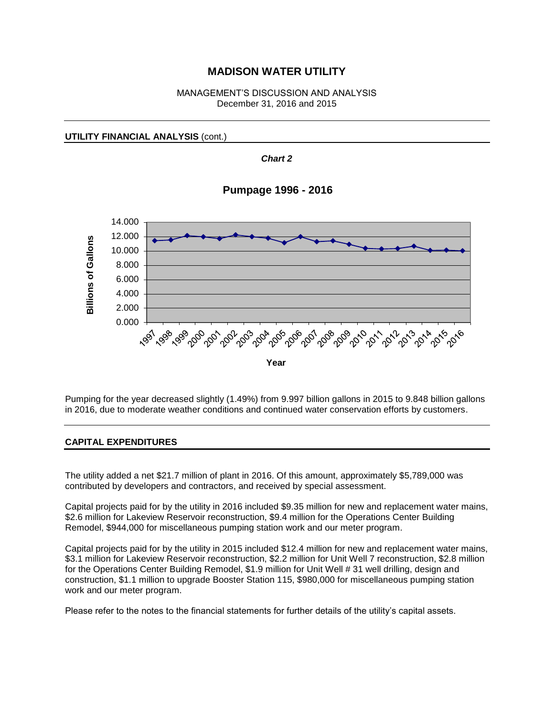### MANAGEMENT'S DISCUSSION AND ANALYSIS December 31, 2016 and 2015

*Chart 2*

**UTILITY FINANCIAL ANALYSIS** (cont.)

6.000 8.000 10.000 12.000 14.000 **Pumpage 1996 - 2016**



Pumping for the year decreased slightly (1.49%) from 9.997 billion gallons in 2015 to 9.848 billion gallons in 2016, due to moderate weather conditions and continued water conservation efforts by customers.

## **CAPITAL EXPENDITURES**

2.000 4.000

**Billions of Gallons**

**Billions of Gallons** 

The utility added a net \$21.7 million of plant in 2016. Of this amount, approximately \$5,789,000 was contributed by developers and contractors, and received by special assessment.

Capital projects paid for by the utility in 2016 included \$9.35 million for new and replacement water mains, \$2.6 million for Lakeview Reservoir reconstruction, \$9.4 million for the Operations Center Building Remodel, \$944,000 for miscellaneous pumping station work and our meter program.

Capital projects paid for by the utility in 2015 included \$12.4 million for new and replacement water mains, \$3.1 million for Lakeview Reservoir reconstruction, \$2.2 million for Unit Well 7 reconstruction, \$2.8 million for the Operations Center Building Remodel, \$1.9 million for Unit Well # 31 well drilling, design and construction, \$1.1 million to upgrade Booster Station 115, \$980,000 for miscellaneous pumping station work and our meter program.

Please refer to the notes to the financial statements for further details of the utility's capital assets.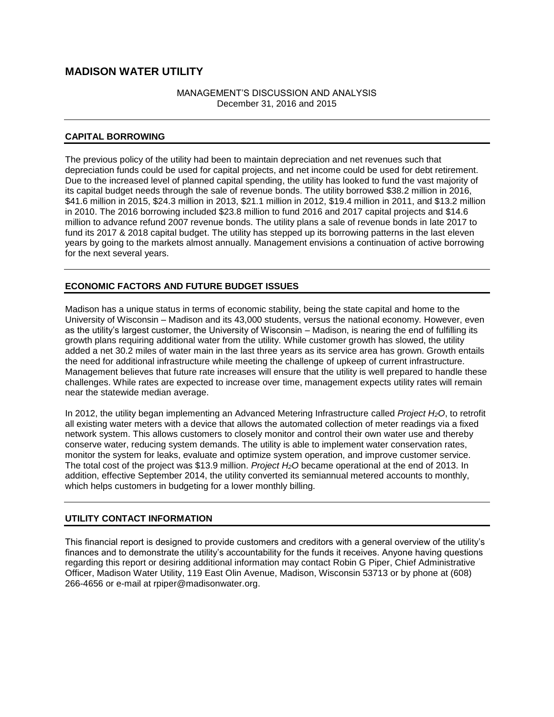## MANAGEMENT'S DISCUSSION AND ANALYSIS December 31, 2016 and 2015

## **CAPITAL BORROWING**

The previous policy of the utility had been to maintain depreciation and net revenues such that depreciation funds could be used for capital projects, and net income could be used for debt retirement. Due to the increased level of planned capital spending, the utility has looked to fund the vast majority of its capital budget needs through the sale of revenue bonds. The utility borrowed \$38.2 million in 2016, \$41.6 million in 2015, \$24.3 million in 2013, \$21.1 million in 2012, \$19.4 million in 2011, and \$13.2 million in 2010. The 2016 borrowing included \$23.8 million to fund 2016 and 2017 capital projects and \$14.6 million to advance refund 2007 revenue bonds. The utility plans a sale of revenue bonds in late 2017 to fund its 2017 & 2018 capital budget. The utility has stepped up its borrowing patterns in the last eleven years by going to the markets almost annually. Management envisions a continuation of active borrowing for the next several years.

## **ECONOMIC FACTORS AND FUTURE BUDGET ISSUES**

Madison has a unique status in terms of economic stability, being the state capital and home to the University of Wisconsin – Madison and its 43,000 students, versus the national economy. However, even as the utility's largest customer, the University of Wisconsin – Madison, is nearing the end of fulfilling its growth plans requiring additional water from the utility. While customer growth has slowed, the utility added a net 30.2 miles of water main in the last three years as its service area has grown. Growth entails the need for additional infrastructure while meeting the challenge of upkeep of current infrastructure. Management believes that future rate increases will ensure that the utility is well prepared to handle these challenges. While rates are expected to increase over time, management expects utility rates will remain near the statewide median average.

In 2012, the utility began implementing an Advanced Metering Infrastructure called *Project H2O*, to retrofit all existing water meters with a device that allows the automated collection of meter readings via a fixed network system. This allows customers to closely monitor and control their own water use and thereby conserve water, reducing system demands. The utility is able to implement water conservation rates, monitor the system for leaks, evaluate and optimize system operation, and improve customer service. The total cost of the project was \$13.9 million. *Project H2O* became operational at the end of 2013. In addition, effective September 2014, the utility converted its semiannual metered accounts to monthly, which helps customers in budgeting for a lower monthly billing.

## **UTILITY CONTACT INFORMATION**

This financial report is designed to provide customers and creditors with a general overview of the utility's finances and to demonstrate the utility's accountability for the funds it receives. Anyone having questions regarding this report or desiring additional information may contact Robin G Piper, Chief Administrative Officer, Madison Water Utility, 119 East Olin Avenue, Madison, Wisconsin 53713 or by phone at (608) 266-4656 or e-mail at rpiper@madisonwater.org.